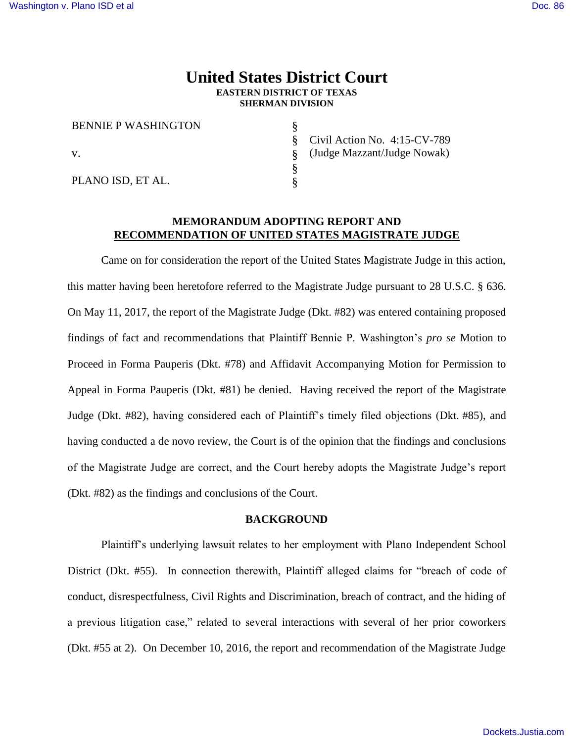# **United States District Court EASTERN DISTRICT OF TEXAS SHERMAN DIVISION**

§ § § § §

| <b>BENNIE P WASHINGTON</b> |  |
|----------------------------|--|
| V.                         |  |
| PLANO ISD, ET AL.          |  |

Civil Action No. 4:15-CV-789 (Judge Mazzant/Judge Nowak)

## **MEMORANDUM ADOPTING REPORT AND RECOMMENDATION OF UNITED STATES MAGISTRATE JUDGE**

Came on for consideration the report of the United States Magistrate Judge in this action, this matter having been heretofore referred to the Magistrate Judge pursuant to 28 U.S.C. § 636. On May 11, 2017, the report of the Magistrate Judge (Dkt. #82) was entered containing proposed findings of fact and recommendations that Plaintiff Bennie P. Washington's *pro se* Motion to Proceed in Forma Pauperis (Dkt. #78) and Affidavit Accompanying Motion for Permission to Appeal in Forma Pauperis (Dkt. #81) be denied. Having received the report of the Magistrate Judge (Dkt. #82), having considered each of Plaintiff's timely filed objections (Dkt. #85), and having conducted a de novo review, the Court is of the opinion that the findings and conclusions of the Magistrate Judge are correct, and the Court hereby adopts the Magistrate Judge's report (Dkt. #82) as the findings and conclusions of the Court.

#### **BACKGROUND**

Plaintiff's underlying lawsuit relates to her employment with Plano Independent School District (Dkt. #55). In connection therewith, Plaintiff alleged claims for "breach of code of conduct, disrespectfulness, Civil Rights and Discrimination, breach of contract, and the hiding of a previous litigation case," related to several interactions with several of her prior coworkers (Dkt. #55 at 2). On December 10, 2016, the report and recommendation of the Magistrate Judge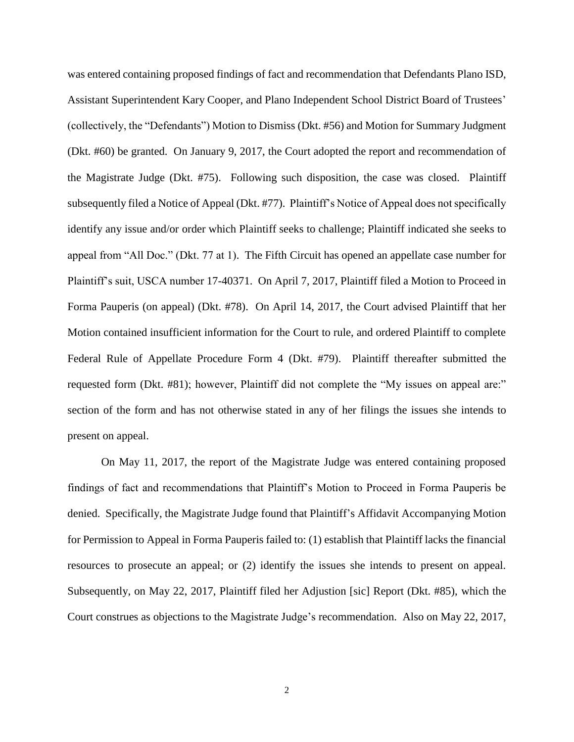was entered containing proposed findings of fact and recommendation that Defendants Plano ISD, Assistant Superintendent Kary Cooper, and Plano Independent School District Board of Trustees' (collectively, the "Defendants") Motion to Dismiss (Dkt. #56) and Motion for Summary Judgment (Dkt. #60) be granted. On January 9, 2017, the Court adopted the report and recommendation of the Magistrate Judge (Dkt. #75). Following such disposition, the case was closed. Plaintiff subsequently filed a Notice of Appeal (Dkt. #77). Plaintiff's Notice of Appeal does not specifically identify any issue and/or order which Plaintiff seeks to challenge; Plaintiff indicated she seeks to appeal from "All Doc." (Dkt. 77 at 1). The Fifth Circuit has opened an appellate case number for Plaintiff's suit, USCA number 17-40371. On April 7, 2017, Plaintiff filed a Motion to Proceed in Forma Pauperis (on appeal) (Dkt. #78). On April 14, 2017, the Court advised Plaintiff that her Motion contained insufficient information for the Court to rule, and ordered Plaintiff to complete Federal Rule of Appellate Procedure Form 4 (Dkt. #79). Plaintiff thereafter submitted the requested form (Dkt. #81); however, Plaintiff did not complete the "My issues on appeal are:" section of the form and has not otherwise stated in any of her filings the issues she intends to present on appeal.

On May 11, 2017, the report of the Magistrate Judge was entered containing proposed findings of fact and recommendations that Plaintiff's Motion to Proceed in Forma Pauperis be denied. Specifically, the Magistrate Judge found that Plaintiff's Affidavit Accompanying Motion for Permission to Appeal in Forma Pauperis failed to: (1) establish that Plaintiff lacks the financial resources to prosecute an appeal; or (2) identify the issues she intends to present on appeal. Subsequently, on May 22, 2017, Plaintiff filed her Adjustion [sic] Report (Dkt. #85), which the Court construes as objections to the Magistrate Judge's recommendation. Also on May 22, 2017,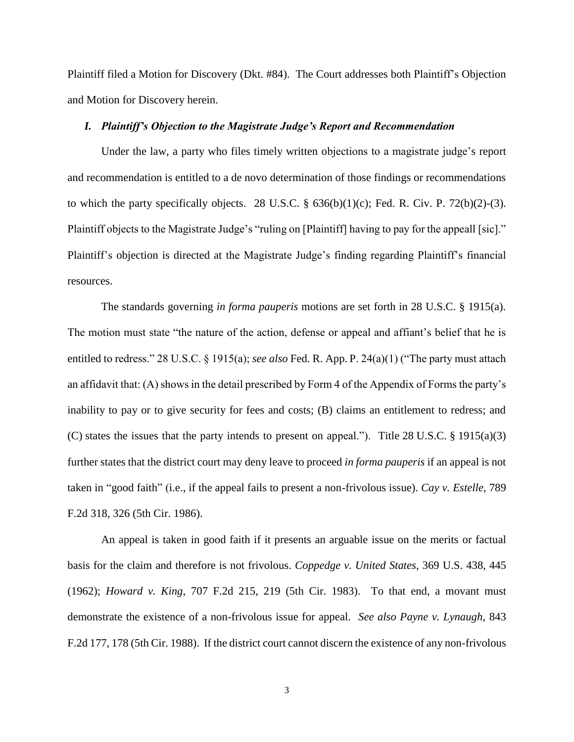Plaintiff filed a Motion for Discovery (Dkt. #84). The Court addresses both Plaintiff's Objection and Motion for Discovery herein.

### *I. Plaintiff's Objection to the Magistrate Judge's Report and Recommendation*

Under the law, a party who files timely written objections to a magistrate judge's report and recommendation is entitled to a de novo determination of those findings or recommendations to which the party specifically objects. 28 U.S.C.  $\S$  636(b)(1)(c); Fed. R. Civ. P. 72(b)(2)-(3). Plaintiff objects to the Magistrate Judge's "ruling on [Plaintiff] having to pay for the appeall [sic]." Plaintiff's objection is directed at the Magistrate Judge's finding regarding Plaintiff's financial resources.

The standards governing *in forma pauperis* motions are set forth in 28 U.S.C. § 1915(a). The motion must state "the nature of the action, defense or appeal and affiant's belief that he is entitled to redress." 28 U.S.C. § 1915(a); *see also* Fed. R. App. P. 24(a)(1) ("The party must attach an affidavit that: (A) shows in the detail prescribed by Form 4 of the Appendix of Forms the party's inability to pay or to give security for fees and costs; (B) claims an entitlement to redress; and (C) states the issues that the party intends to present on appeal."). Title 28 U.S.C. § 1915(a)(3) further states that the district court may deny leave to proceed *in forma pauperis* if an appeal is not taken in "good faith" (i.e., if the appeal fails to present a non-frivolous issue). *Cay v. Estelle*, 789 F.2d 318, 326 (5th Cir. 1986).

An appeal is taken in good faith if it presents an arguable issue on the merits or factual basis for the claim and therefore is not frivolous. *Coppedge v. United States*, 369 U.S. 438, 445 (1962); *Howard v. King*, 707 F.2d 215, 219 (5th Cir. 1983). To that end, a movant must demonstrate the existence of a non-frivolous issue for appeal. *See also Payne v. Lynaugh*, 843 F.2d 177, 178 (5th Cir. 1988). If the district court cannot discern the existence of any non-frivolous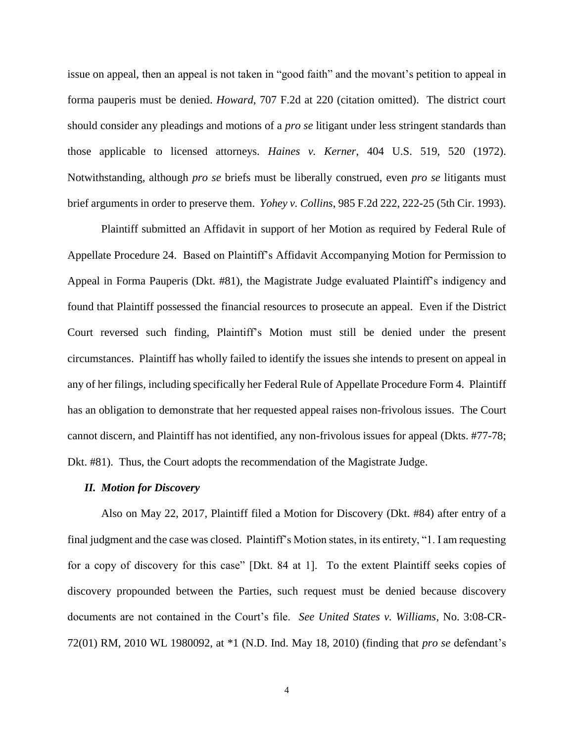issue on appeal, then an appeal is not taken in "good faith" and the movant's petition to appeal in forma pauperis must be denied. *Howard*, 707 F.2d at 220 (citation omitted). The district court should consider any pleadings and motions of a *pro se* litigant under less stringent standards than those applicable to licensed attorneys. *Haines v. Kerner*, 404 U.S. 519, 520 (1972). Notwithstanding, although *pro se* briefs must be liberally construed, even *pro se* litigants must brief arguments in order to preserve them. *Yohey v. Collins*, 985 F.2d 222, 222-25 (5th Cir. 1993).

Plaintiff submitted an Affidavit in support of her Motion as required by Federal Rule of Appellate Procedure 24. Based on Plaintiff's Affidavit Accompanying Motion for Permission to Appeal in Forma Pauperis (Dkt. #81), the Magistrate Judge evaluated Plaintiff's indigency and found that Plaintiff possessed the financial resources to prosecute an appeal. Even if the District Court reversed such finding, Plaintiff's Motion must still be denied under the present circumstances. Plaintiff has wholly failed to identify the issues she intends to present on appeal in any of her filings, including specifically her Federal Rule of Appellate Procedure Form 4. Plaintiff has an obligation to demonstrate that her requested appeal raises non-frivolous issues. The Court cannot discern, and Plaintiff has not identified, any non-frivolous issues for appeal (Dkts. #77-78; Dkt. #81). Thus, the Court adopts the recommendation of the Magistrate Judge.

### *II. Motion for Discovery*

Also on May 22, 2017, Plaintiff filed a Motion for Discovery (Dkt. #84) after entry of a final judgment and the case was closed. Plaintiff's Motion states, in its entirety, "1. I am requesting for a copy of discovery for this case" [Dkt. 84 at 1]. To the extent Plaintiff seeks copies of discovery propounded between the Parties, such request must be denied because discovery documents are not contained in the Court's file. *See United States v. Williams*, No. 3:08-CR-72(01) RM, 2010 WL 1980092, at \*1 (N.D. Ind. May 18, 2010) (finding that *pro se* defendant's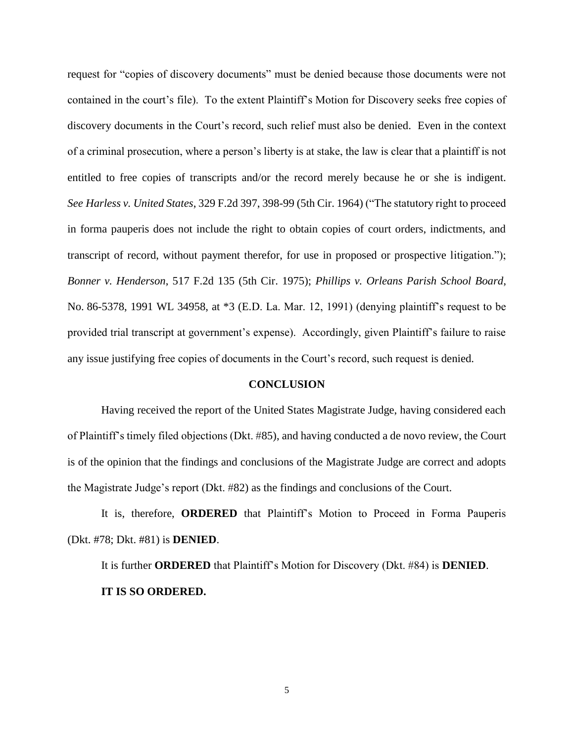request for "copies of discovery documents" must be denied because those documents were not contained in the court's file). To the extent Plaintiff's Motion for Discovery seeks free copies of discovery documents in the Court's record, such relief must also be denied. Even in the context of a criminal prosecution, where a person's liberty is at stake, the law is clear that a plaintiff is not entitled to free copies of transcripts and/or the record merely because he or she is indigent. *See Harless v. United States*, 329 F.2d 397, 398-99 (5th Cir. 1964) ("The statutory right to proceed in forma pauperis does not include the right to obtain copies of court orders, indictments, and transcript of record, without payment therefor, for use in proposed or prospective litigation."); *Bonner v. Henderson*, 517 F.2d 135 (5th Cir. 1975); *Phillips v. Orleans Parish School Board*, No. 86-5378, 1991 WL 34958, at \*3 (E.D. La. Mar. 12, 1991) (denying plaintiff's request to be provided trial transcript at government's expense). Accordingly, given Plaintiff's failure to raise any issue justifying free copies of documents in the Court's record, such request is denied.

#### **CONCLUSION**

Having received the report of the United States Magistrate Judge, having considered each of Plaintiff's timely filed objections (Dkt. #85), and having conducted a de novo review, the Court is of the opinion that the findings and conclusions of the Magistrate Judge are correct and adopts the Magistrate Judge's report (Dkt. #82) as the findings and conclusions of the Court.

It is, therefore, **ORDERED** that Plaintiff's Motion to Proceed in Forma Pauperis (Dkt. #78; Dkt. #81) is **DENIED**.

It is further **ORDERED** that Plaintiff's Motion for Discovery (Dkt. #84) is **DENIED**. **IT IS SO ORDERED.**

5